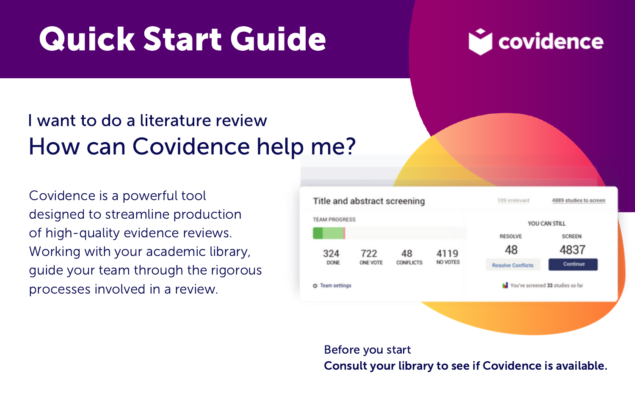# Quick Start Guide



## I want to do a literature review How can Covidence help me?

Covidence is a powerful tool designed to streamline production of high-quality evidence reviews. Working with your academic library, guide your team through the rigorous processes involved in a review.



Before you start Consult your library to see if Covidence is available.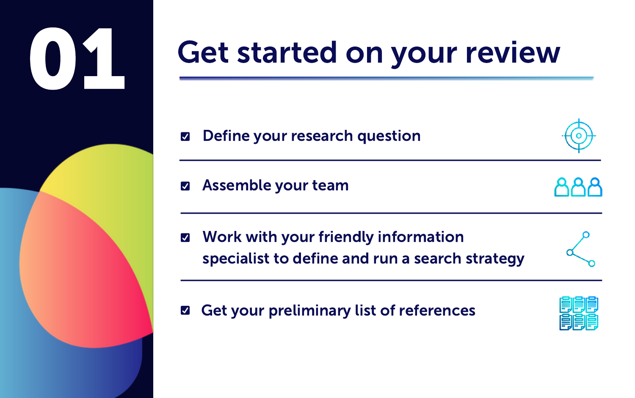

## Get started on your review

Define your research question M

Assemble your team  $\overline{\mathbf{v}}$ 

- Work with your friendly information  $\overline{\mathbf{v}}$ specialist to define and run a search strategy
- 

 $\overline{\mathbf{v}}$ Get your preliminary list of references

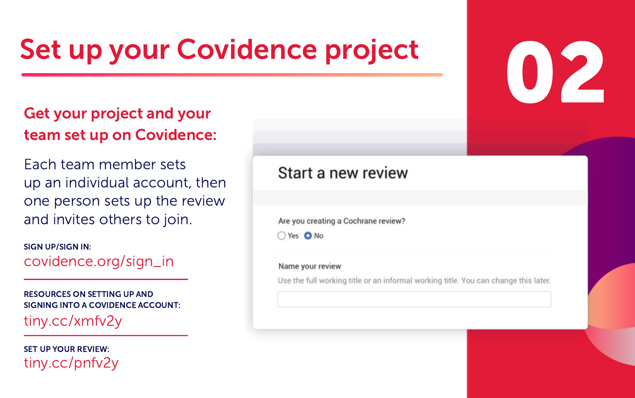## Set up your Covidence project

#### Get your project and your team set up on Covidence:

Each team member sets up an individual account, then one person sets up the review and invites others to join.

SIGN UP/SIGN IN: covidence.org/sign\_in

RESOURCES ON SETTING UP AND SIGNING INTO A COVIDENCE ACCOUNT: tiny.cc/xmfv2y

SET UP YOUR REVIEW: tiny.cc/pnfv2y

#### Start a new review

Are you creating a Cochrane review?

○ Yes ● No

#### Name your review

Use the full working title or an informal working title. You can change this later.

02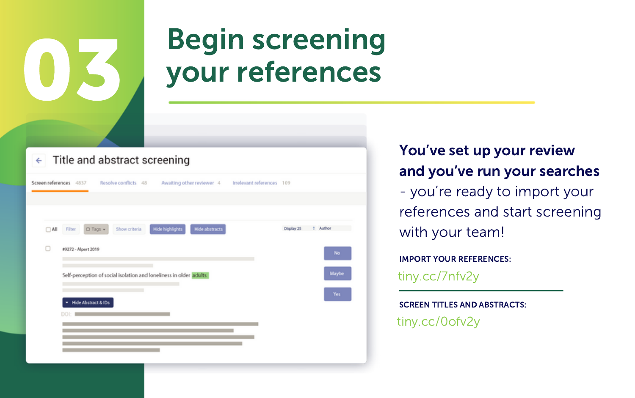## Begin screening your references

 $\leftarrow$  Title and abstract screening

|  |                 | Resolve conflicts 48<br>Screen references 4837<br>Awaiting other reviewer 4                            | Irrelevant references 109 |            |                       |
|--|-----------------|--------------------------------------------------------------------------------------------------------|---------------------------|------------|-----------------------|
|  | $\Box$ All<br>o | <b>Hide highlights</b><br>Show criteria<br>Hide abstracts<br>O Tags +<br>Filter<br>#9272 - Alpert 2019 |                           | Display 25 | <b>C</b> Author<br>No |
|  |                 | Self-perception of social isolation and loneliness in older adults                                     |                           |            | Maybe<br>Yes          |
|  |                 | - Hide Abstract & IDs<br>DOI                                                                           |                           |            |                       |
|  |                 |                                                                                                        |                           |            |                       |

#### You've set up your review and you've run your searches

- you're ready to import your references and start screening with your team!

IMPORT YOUR REFERENCES:

tiny.cc/7nfv2y

SCREEN TITLES AND ABSTRACTS: tiny.cc/0ofv2y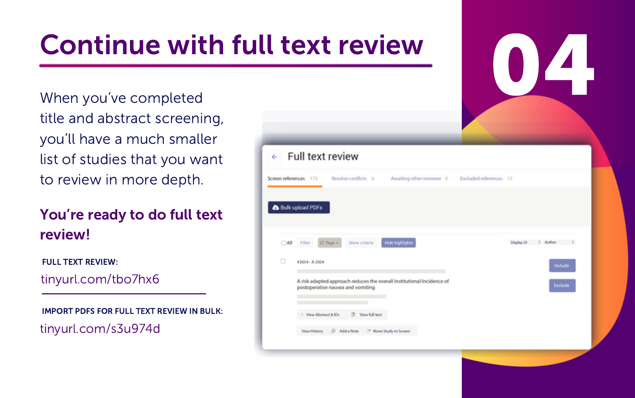## Continue with full text review

title and abstract screening, you'll have a much smaller list of studies that you want to review in more depth.

You're ready to do full text review!

tinyurl.com/tbo7hx6 FULL TEXT REVIEW:

IMPORT PDFS FOR FULL TEXT REVIEW IN BULK: tinyurl.com/s3u974d

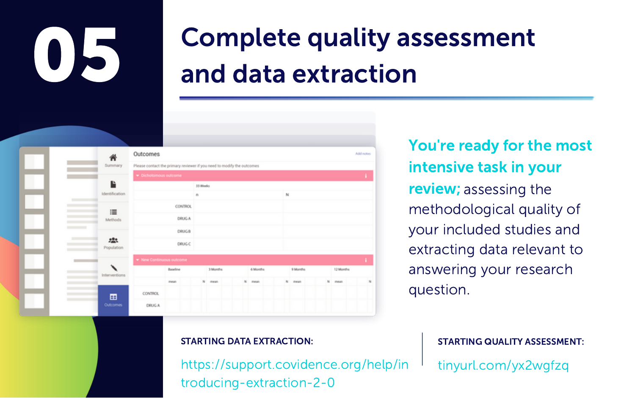# 05

## Complete quality assessment and data extraction



You're ready for the most intensive task in your review; assessing the methodological quality of your included studies and extracting data relevant to answering your research question.

https://support.covidence.org/help/in troducing-extraction-2-0

STARTING DATA EXTRACTION: STARTING QUALITY ASSESSMENT: tinyurl.com/yx2wgfzq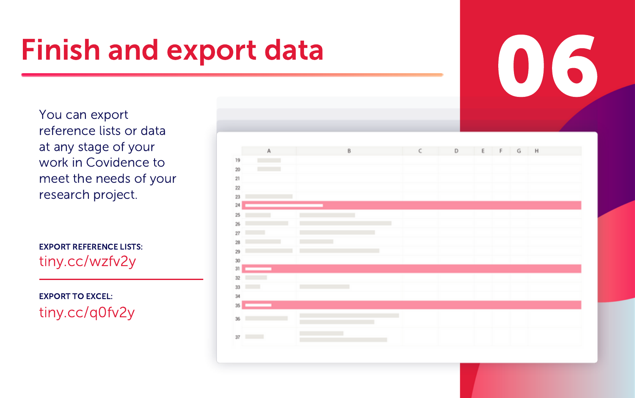## Finish and export data

You can export reference lists or data at any stage of your work in Covidence to meet the needs of your research project.

EXPORT REFERENCE LISTS: tiny.cc/wzfv2y

EXPORT TO EXCEL: tiny.cc/q0fv2y



06